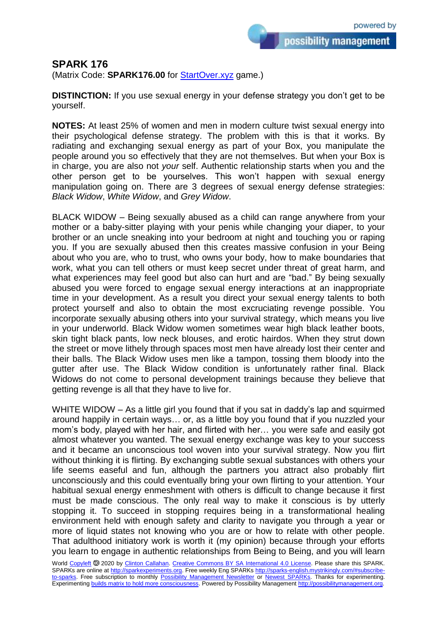possibility management

## **SPARK 176**

(Matrix Code: **SPARK176.00** for **StartOver.xyz** game.)

**DISTINCTION:** If you use sexual energy in your defense strategy you don't get to be yourself.

**NOTES:** At least 25% of women and men in modern culture twist sexual energy into their psychological defense strategy. The problem with this is that it works. By radiating and exchanging sexual energy as part of your Box, you manipulate the people around you so effectively that they are not themselves. But when your Box is in charge, you are also not *your* self. Authentic relationship starts when you and the other person get to be yourselves. This won't happen with sexual energy manipulation going on. There are 3 degrees of sexual energy defense strategies: *Black Widow*, *White Widow*, and *Grey Widow*.

BLACK WIDOW – Being sexually abused as a child can range anywhere from your mother or a baby-sitter playing with your penis while changing your diaper, to your brother or an uncle sneaking into your bedroom at night and touching you or raping you. If you are sexually abused then this creates massive confusion in your Being about who you are, who to trust, who owns your body, how to make boundaries that work, what you can tell others or must keep secret under threat of great harm, and what experiences may feel good but also can hurt and are "bad." By being sexually abused you were forced to engage sexual energy interactions at an inappropriate time in your development. As a result you direct your sexual energy talents to both protect yourself and also to obtain the most excruciating revenge possible. You incorporate sexually abusing others into your survival strategy, which means you live in your underworld. Black Widow women sometimes wear high black leather boots, skin tight black pants, low neck blouses, and erotic hairdos. When they strut down the street or move lithely through spaces most men have already lost their center and their balls. The Black Widow uses men like a tampon, tossing them bloody into the gutter after use. The Black Widow condition is unfortunately rather final. Black Widows do not come to personal development trainings because they believe that getting revenge is all that they have to live for.

WHITE WIDOW – As a little girl you found that if you sat in daddy's lap and squirmed around happily in certain ways… or, as a little boy you found that if you nuzzled your mom's body, played with her hair, and flirted with her… you were safe and easily got almost whatever you wanted. The sexual energy exchange was key to your success and it became an unconscious tool woven into your survival strategy. Now you flirt without thinking it is flirting. By exchanging subtle sexual substances with others your life seems easeful and fun, although the partners you attract also probably flirt unconsciously and this could eventually bring your own flirting to your attention. Your habitual sexual energy enmeshment with others is difficult to change because it first must be made conscious. The only real way to make it conscious is by utterly stopping it. To succeed in stopping requires being in a transformational healing environment held with enough safety and clarity to navigate you through a year or more of liquid states not knowing who you are or how to relate with other people. That adulthood initiatory work is worth it (my opinion) because through your efforts you learn to engage in authentic relationships from Being to Being, and you will learn